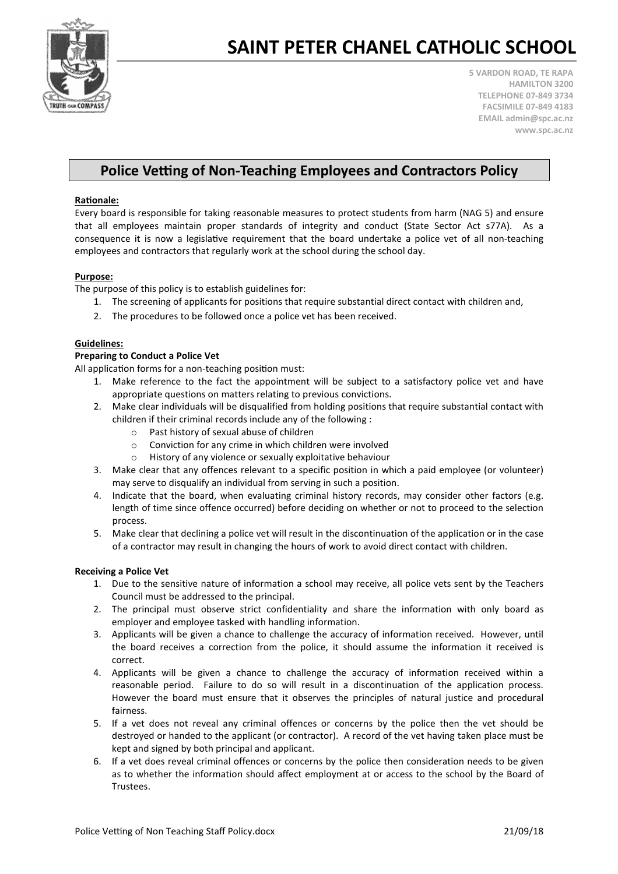

## SAINT PETER CHANEL CATHOLIC SCHOOL

5 VARDON ROAD, TE RAPA HAMILTON 3200 TELEPHONE 07-849 3734 FACSIMILE 07-849 4183 EMAIL admin@spc.ac.nz www.spc.ac.nz

### Police Vetting of Non-Teaching Employees and Contractors Policy

#### **Rationale:**

Every board is responsible for taking reasonable measures to protect students from harm (NAG 5) and ensure that all employees maintain proper standards of integrity and conduct (State Sector Act s77A). As a consequence it is now a legislative requirement that the board undertake a police vet of all non-teaching employees and contractors that regularly work at the school during the school day.

#### Purpose:

The purpose of this policy is to establish guidelines for:

- 1. The screening of applicants for positions that require substantial direct contact with children and,
- 2. The procedures to be followed once a police vet has been received.

#### Guidelines:

#### Preparing to Conduct a Police Vet

All application forms for a non-teaching position must:

- 1. Make reference to the fact the appointment will be subject to a satisfactory police vet and have appropriate questions on matters relating to previous convictions.
- 2. Make clear individuals will be disqualified from holding positions that require substantial contact with children if their criminal records include any of the following :
	- o Past history of sexual abuse of children
	- o Conviction for any crime in which children were involved
	- o History of any violence or sexually exploitative behaviour
- 3. Make clear that any offences relevant to a specific position in which a paid employee (or volunteer) may serve to disqualify an individual from serving in such a position.
- 4. Indicate that the board, when evaluating criminal history records, may consider other factors (e.g. length of time since offence occurred) before deciding on whether or not to proceed to the selection process.
- 5. Make clear that declining a police vet will result in the discontinuation of the application or in the case of a contractor may result in changing the hours of work to avoid direct contact with children.

#### Receiving a Police Vet

- 1. Due to the sensitive nature of information a school may receive, all police vets sent by the Teachers Council must be addressed to the principal.
- 2. The principal must observe strict confidentiality and share the information with only board as employer and employee tasked with handling information.
- 3. Applicants will be given a chance to challenge the accuracy of information received. However, until the board receives a correction from the police, it should assume the information it received is correct.
- 4. Applicants will be given a chance to challenge the accuracy of information received within a reasonable period. Failure to do so will result in a discontinuation of the application process. However the board must ensure that it observes the principles of natural justice and procedural fairness.
- 5. If a vet does not reveal any criminal offences or concerns by the police then the vet should be destroyed or handed to the applicant (or contractor). A record of the vet having taken place must be kept and signed by both principal and applicant.
- 6. If a vet does reveal criminal offences or concerns by the police then consideration needs to be given as to whether the information should affect employment at or access to the school by the Board of Trustees.